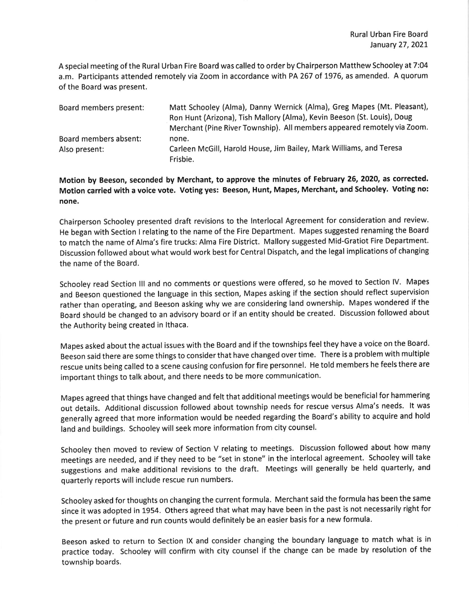A specia I meeting of the Rural Urban Fire Board was called to order by Chairperson Matthew Schooley at 7:04 a.m. Participants attended remotely via Zoom in accordance with PA 267 of 1976, as amended. A quorum of the Board was present.

| Board members present: | Matt Schooley (Alma), Danny Wernick (Alma), Greg Mapes (Mt. Pleasant),  |
|------------------------|-------------------------------------------------------------------------|
|                        | Ron Hunt (Arizona), Tish Mallory (Alma), Kevin Beeson (St. Louis), Doug |
|                        | Merchant (Pine River Township). All members appeared remotely via Zoom. |
| Board members absent:  | none.                                                                   |
| Also present:          | Carleen McGill, Harold House, Jim Bailey, Mark Williams, and Teresa     |
|                        | Frisbie.                                                                |

Motion by Beeson, seconded by Merchant, to approve the minutes of February 26,2020, as corrected. Motion carried with a voice vote. voting yes: Beeson, Hunt, Mapes, Merchant, and Schooley. voting no: none.

Chairperson Schooley presented draft revisions to the lnterlocal Agreement for consideration and review. He began with Section I relating to the name of the Fire Department. Mapes suggested renaming the Board to match the name of Alma's fire trucks: Alma Fire District. Mallory suggested Mid-Gratiot Fire Department. Discussion followed about what would work best for Central Dispatch, and the legal implications of changing the name of the Board.

Schooley read Section lll and no comments or questions were offered, so he moved to Section lV. Mapes and Beeson questioned the language in this section, Mapes asking if the section should reflect supervislon rather than operating, and Beeson asking why we are considering land ownership. Mapes wondered if the Board should be changed to an advisory board or if an entity should be created. Discussion followed about the Authority being created in lthaca.

Mapes asked about the actual issues with the Board and if the townships feel they have a voice on the Board. Beeson said there are some things to consider that have changed over time. There is a problem with multiple rescue units being called to a scene causing confusion for fire personnel. He told members he feels there are lmportant things to talk about, and there needs to be more communication.

Mapes agreed that things have changed and felt that additional meetings would be beneficial for hammering out details. Additional discussion followed about township needs for rescue versus Alma's needs. lt was generally agreed that more information would be needed regarding the Board's abillty to acquire and hold land and bulldings. Schooley will seek more information from city counsel

Schooley then moved to review of Section V relating to meetings. Discussion followed about how many meetings are needed, and if they need to be "set in stone" in the interlocal agreement. Schooley will take suggestions and make additional revisions to the draft. Meetings will generally be held quarterly, and quarterly reports will include rescue run numbers.

Schooley asked for thoughts on changing the current formula. Merchant said the formula has been the same since it was adopted in 1954. Others agreed that what may have been in the past is not necessarily right for the present or future and run counts would definitely be an easier basis for a new formula.

Beeson asked to return to Section lX and consider changing the boundary language to match what is in practice today. Schooley will confirm with city counsel if the change can be made by resolution of the township boards.